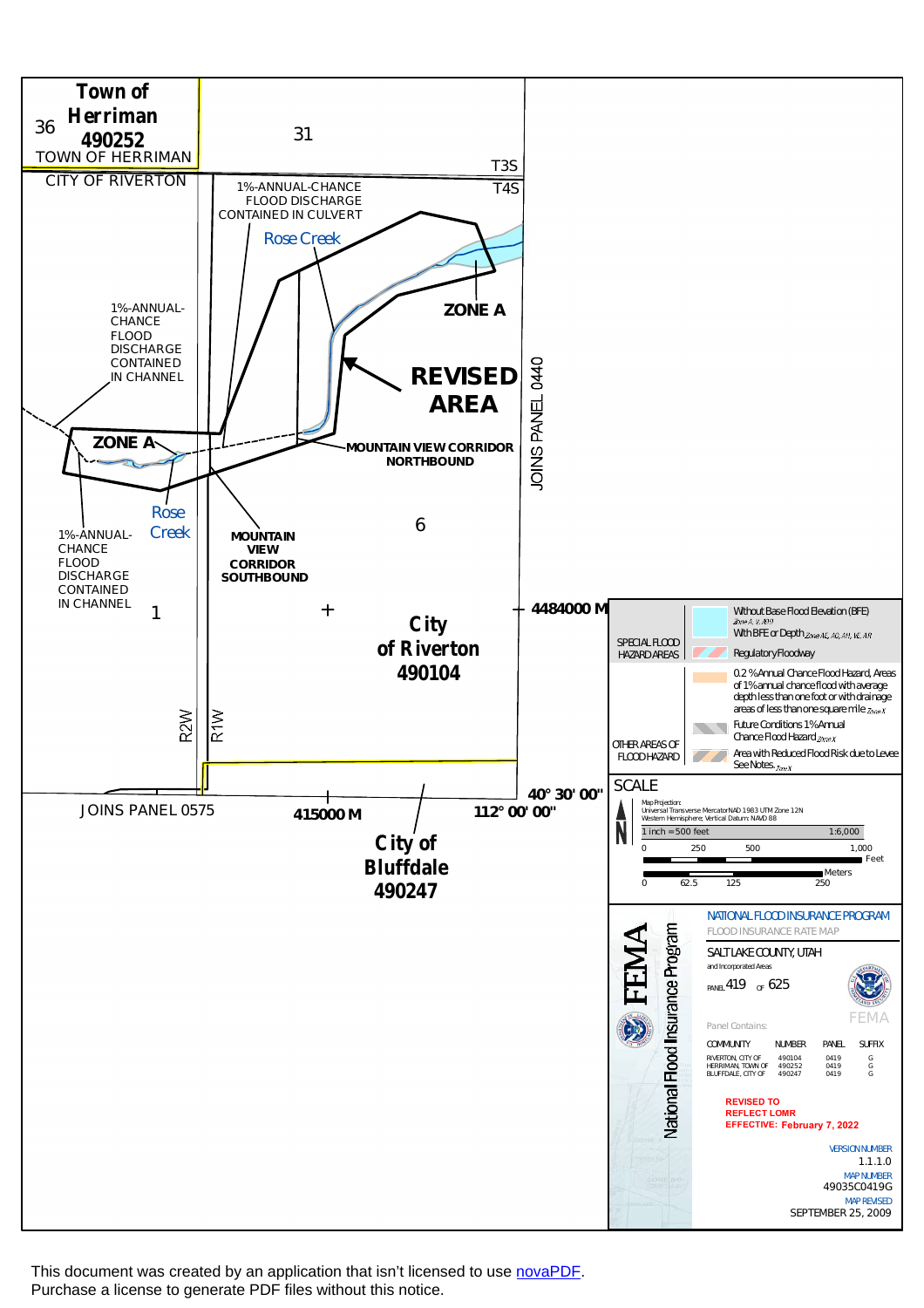

This document was created by an application that isn't licensed to use [novaPDF](http://www.novapdf.com/). Purchase a license to generate PDF files without this notice.